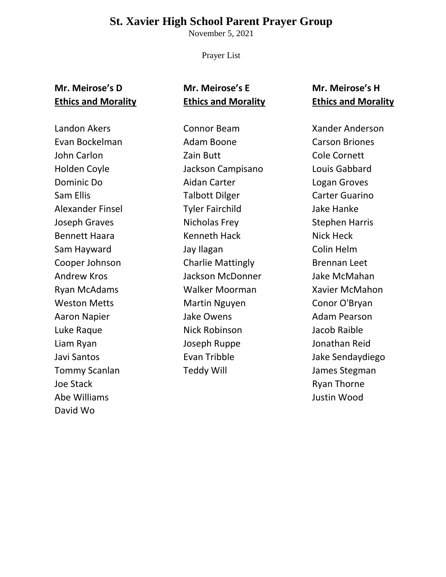#### **St. Xavier High School Parent Prayer Group**

November 5, 2021

Prayer List

#### **Mr. Meirose's D Ethics and Morality**

## **Mr. Meirose's E Ethics and Morality**

# **Mr. Meirose's H Ethics and Morality**

Landon Akers Evan Bockelman John Carlon Holden Coyle Dominic Do Sam Ellis Alexander Finsel Joseph Graves Bennett Haara Sam Hayward Cooper Johnson Andrew Kros Ryan McAdams Weston Metts Aaron Napier Luke Raque Liam Ryan Javi Santos Tommy Scanlan Joe Stack Abe Williams David Wo

Connor Beam Adam Boone Zain Butt Jackson Campisano Aidan Carter Talbott Dilger Tyler Fairchild Nicholas Frey Kenneth Hack Jay Ilagan Charlie Mattingly Jackson McDonner Walker Moorman Martin Nguyen Jake Owens Nick Robinson Joseph Ruppe Evan Tribble Teddy Will

Xander Anderson Carson Briones Cole Cornett Louis Gabbard Logan Groves Carter Guarino Jake Hanke Stephen Harris Nick Heck Colin Helm Brennan Leet Jake McMahan Xavier McMahon Conor O'Bryan Adam Pearson Jacob Raible Jonathan Reid Jake Sendaydiego James Stegman Ryan Thorne Justin Wood